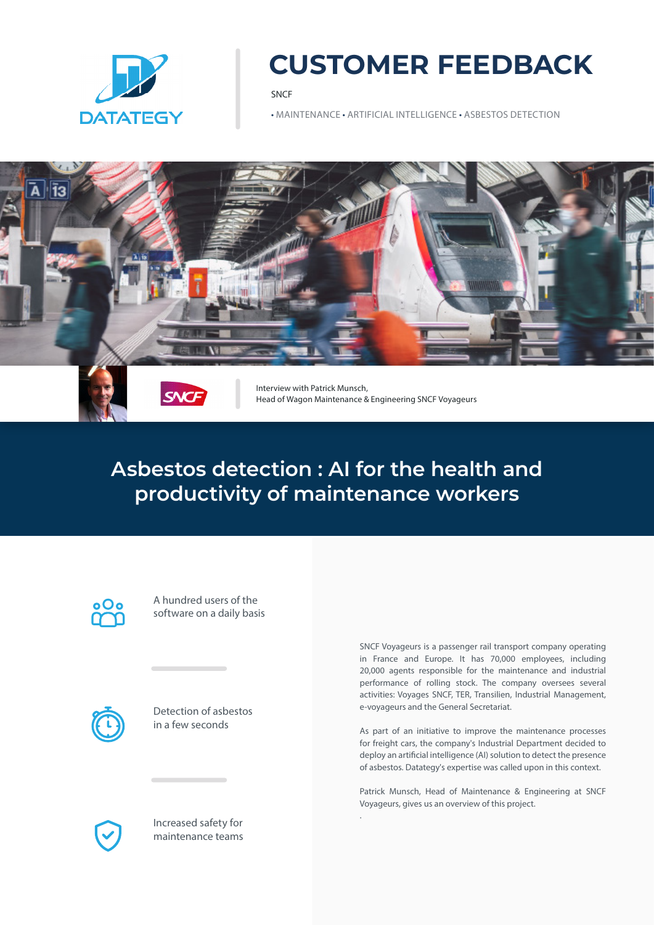

# **CUSTOMER FEEDBACK**

SNCF

• MAINTENANCE • ARTIFICIAL INTELLIGENCE • ASBESTOS DETECTION



## **Asbestos detection : AI for the health and productivity of maintenance workers**

.

A hundred users of the software on a daily basis



Detection of asbestos in a few seconds



Increased safety for maintenance teams

SNCF Voyageurs is a passenger rail transport company operating in France and Europe. It has 70,000 employees, including 20,000 agents responsible for the maintenance and industrial performance of rolling stock. The company oversees several activities: Voyages SNCF, TER, Transilien, Industrial Management, e-voyageurs and the General Secretariat.

As part of an initiative to improve the maintenance processes for freight cars, the company's Industrial Department decided to deploy an artificial intelligence (AI) solution to detect the presence of asbestos. Datategy's expertise was called upon in this context.

Patrick Munsch, Head of Maintenance & Engineering at SNCF Voyageurs, gives us an overview of this project.